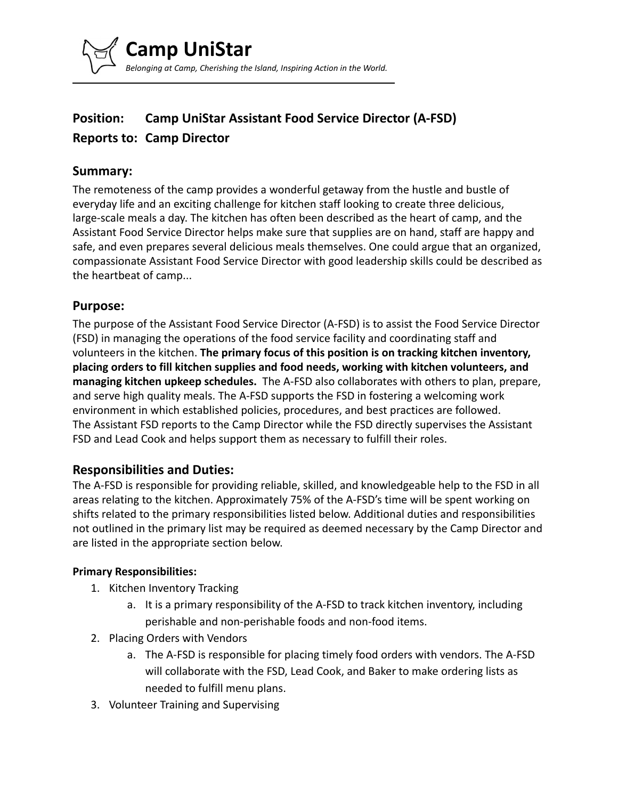

# **Position: Camp UniStar Assistant Food Service Director (A-FSD) Reports to: Camp Director**

# **Summary:**

The remoteness of the camp provides a wonderful getaway from the hustle and bustle of everyday life and an exciting challenge for kitchen staff looking to create three delicious, large-scale meals a day. The kitchen has often been described as the heart of camp, and the Assistant Food Service Director helps make sure that supplies are on hand, staff are happy and safe, and even prepares several delicious meals themselves. One could argue that an organized, compassionate Assistant Food Service Director with good leadership skills could be described as the heartbeat of camp...

## **Purpose:**

The purpose of the Assistant Food Service Director (A-FSD) is to assist the Food Service Director (FSD) in managing the operations of the food service facility and coordinating staff and volunteers in the kitchen. **The primary focus of this position is on tracking kitchen inventory, placing orders to fill kitchen supplies and food needs, working with kitchen volunteers, and managing kitchen upkeep schedules.** The A-FSD also collaborates with others to plan, prepare, and serve high quality meals. The A-FSD supports the FSD in fostering a welcoming work environment in which established policies, procedures, and best practices are followed. The Assistant FSD reports to the Camp Director while the FSD directly supervises the Assistant FSD and Lead Cook and helps support them as necessary to fulfill their roles.

# **Responsibilities and Duties:**

The A-FSD is responsible for providing reliable, skilled, and knowledgeable help to the FSD in all areas relating to the kitchen. Approximately 75% of the A-FSD's time will be spent working on shifts related to the primary responsibilities listed below. Additional duties and responsibilities not outlined in the primary list may be required as deemed necessary by the Camp Director and are listed in the appropriate section below.

#### **Primary Responsibilities:**

- 1. Kitchen Inventory Tracking
	- a. It is a primary responsibility of the A-FSD to track kitchen inventory, including perishable and non-perishable foods and non-food items.
- 2. Placing Orders with Vendors
	- a. The A-FSD is responsible for placing timely food orders with vendors. The A-FSD will collaborate with the FSD, Lead Cook, and Baker to make ordering lists as needed to fulfill menu plans.
- 3. Volunteer Training and Supervising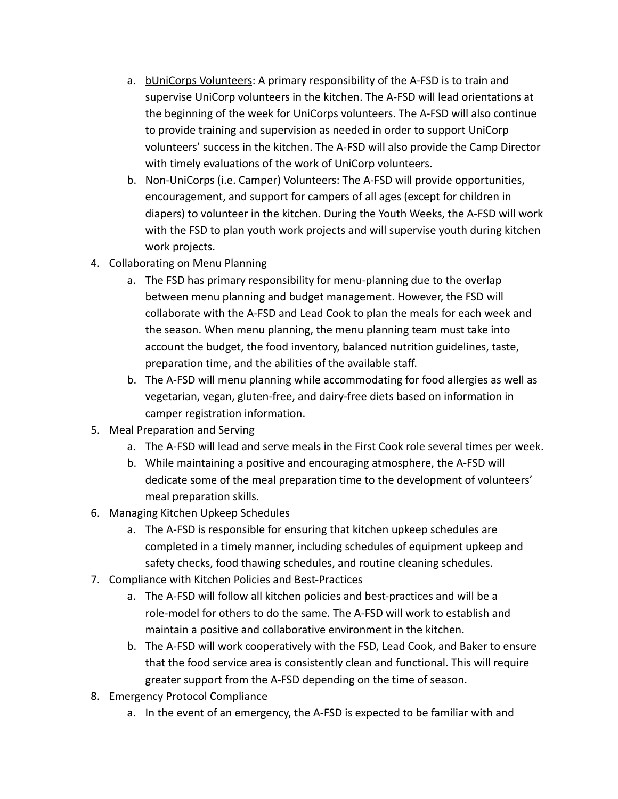- a. bUniCorps Volunteers: A primary responsibility of the A-FSD is to train and supervise UniCorp volunteers in the kitchen. The A-FSD will lead orientations at the beginning of the week for UniCorps volunteers. The A-FSD will also continue to provide training and supervision as needed in order to support UniCorp volunteers' success in the kitchen. The A-FSD will also provide the Camp Director with timely evaluations of the work of UniCorp volunteers.
- b. Non-UniCorps (i.e. Camper) Volunteers: The A-FSD will provide opportunities, encouragement, and support for campers of all ages (except for children in diapers) to volunteer in the kitchen. During the Youth Weeks, the A-FSD will work with the FSD to plan youth work projects and will supervise youth during kitchen work projects.
- 4. Collaborating on Menu Planning
	- a. The FSD has primary responsibility for menu-planning due to the overlap between menu planning and budget management. However, the FSD will collaborate with the A-FSD and Lead Cook to plan the meals for each week and the season. When menu planning, the menu planning team must take into account the budget, the food inventory, balanced nutrition guidelines, taste, preparation time, and the abilities of the available staff.
	- b. The A-FSD will menu planning while accommodating for food allergies as well as vegetarian, vegan, gluten-free, and dairy-free diets based on information in camper registration information.
- 5. Meal Preparation and Serving
	- a. The A-FSD will lead and serve meals in the First Cook role several times per week.
	- b. While maintaining a positive and encouraging atmosphere, the A-FSD will dedicate some of the meal preparation time to the development of volunteers' meal preparation skills.
- 6. Managing Kitchen Upkeep Schedules
	- a. The A-FSD is responsible for ensuring that kitchen upkeep schedules are completed in a timely manner, including schedules of equipment upkeep and safety checks, food thawing schedules, and routine cleaning schedules.
- 7. Compliance with Kitchen Policies and Best-Practices
	- a. The A-FSD will follow all kitchen policies and best-practices and will be a role-model for others to do the same. The A-FSD will work to establish and maintain a positive and collaborative environment in the kitchen.
	- b. The A-FSD will work cooperatively with the FSD, Lead Cook, and Baker to ensure that the food service area is consistently clean and functional. This will require greater support from the A-FSD depending on the time of season.
- 8. Emergency Protocol Compliance
	- a. In the event of an emergency, the A-FSD is expected to be familiar with and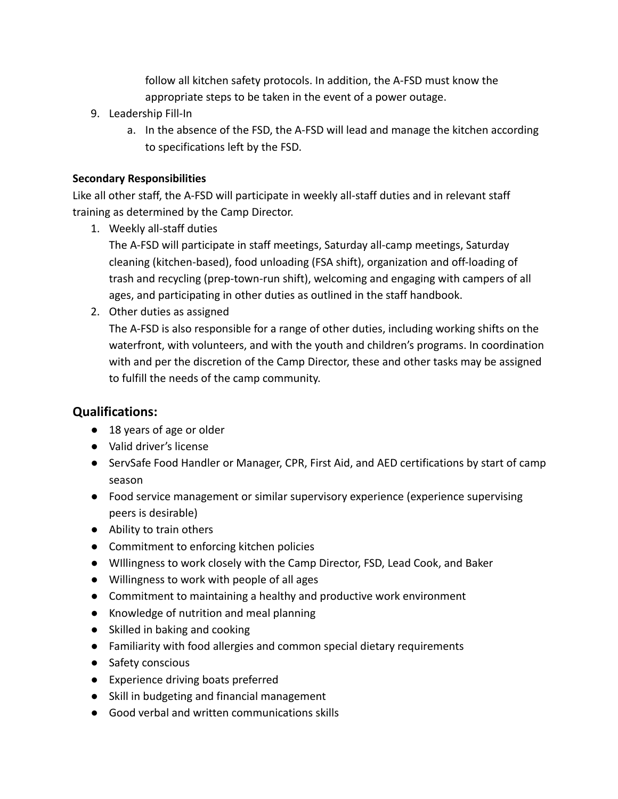follow all kitchen safety protocols. In addition, the A-FSD must know the appropriate steps to be taken in the event of a power outage.

- 9. Leadership Fill-In
	- a. In the absence of the FSD, the A-FSD will lead and manage the kitchen according to specifications left by the FSD.

# **Secondary Responsibilities**

Like all other staff, the A-FSD will participate in weekly all-staff duties and in relevant staff training as determined by the Camp Director.

1. Weekly all-staff duties

The A-FSD will participate in staff meetings, Saturday all-camp meetings, Saturday cleaning (kitchen-based), food unloading (FSA shift), organization and off-loading of trash and recycling (prep-town-run shift), welcoming and engaging with campers of all ages, and participating in other duties as outlined in the staff handbook.

2. Other duties as assigned

The A-FSD is also responsible for a range of other duties, including working shifts on the waterfront, with volunteers, and with the youth and children's programs. In coordination with and per the discretion of the Camp Director, these and other tasks may be assigned to fulfill the needs of the camp community.

# **Qualifications:**

- **●** 18 years of age or older
- **●** Valid driver's license
- **●** ServSafe Food Handler or Manager, CPR, First Aid, and AED certifications by start of camp season
- **●** Food service management or similar supervisory experience (experience supervising peers is desirable)
- Ability to train others
- Commitment to enforcing kitchen policies
- WIllingness to work closely with the Camp Director, FSD, Lead Cook, and Baker
- **●** Willingness to work with people of all ages
- **●** Commitment to maintaining a healthy and productive work environment
- Knowledge of nutrition and meal planning
- Skilled in baking and cooking
- Familiarity with food allergies and common special dietary requirements
- Safety conscious
- **●** Experience driving boats preferred
- **●** Skill in budgeting and financial management
- **●** Good verbal and written communications skills